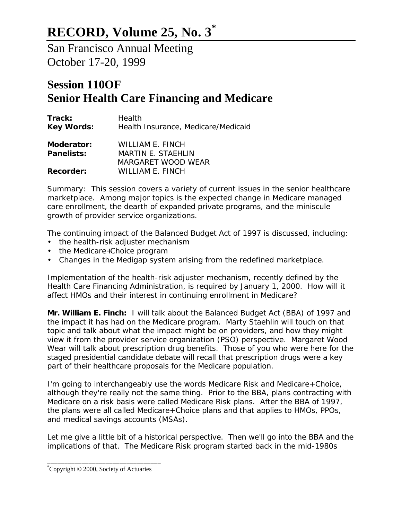## **RECORD, Volume 25, No. 3\***

San Francisco Annual Meeting October 17-20, 1999

## **Session 110OF Senior Health Care Financing and Medicare**

| Health<br>Health Insurance, Medicare/Medicaid                       |
|---------------------------------------------------------------------|
| WILLIAM E. FINCH<br><b>MARTIN E. STAEHLIN</b><br>MARGARET WOOD WEAR |
| <b>WILLIAM E. FINCH</b>                                             |
|                                                                     |

*Summary: This session covers a variety of current issues in the senior healthcare marketplace. Among major topics is the expected change in Medicare managed care enrollment, the dearth of expanded private programs, and the miniscule growth of provider service organizations.*

*The continuing impact of the Balanced Budget Act of 1997 is discussed, including:*

- *the health-risk adjuster mechanism*
- *the Medicare+Choice program*
- *Changes in the Medigap system arising from the redefined marketplace.*

*Implementation of the health-risk adjuster mechanism, recently defined by the Health Care Financing Administration, is required by January 1, 2000. How will it affect HMOs and their interest in continuing enrollment in Medicare?*

**Mr. William E. Finch:** I will talk about the Balanced Budget Act (BBA) of 1997 and the impact it has had on the Medicare program. Marty Staehlin will touch on that topic and talk about what the impact might be on providers, and how they might view it from the provider service organization (PSO) perspective. Margaret Wood Wear will talk about prescription drug benefits. Those of you who were here for the staged presidential candidate debate will recall that prescription drugs were a key part of their healthcare proposals for the Medicare population.

I'm going to interchangeably use the words Medicare Risk and Medicare+Choice, although they're really not the same thing. Prior to the BBA, plans contracting with Medicare on a risk basis were called Medicare Risk plans. After the BBA of 1997, the plans were all called Medicare+Choice plans and that applies to HMOs, PPOs, and medical savings accounts (MSAs).

Let me give a little bit of a historical perspective. Then we'll go into the BBA and the implications of that. The Medicare Risk program started back in the mid-1980s

\_\_\_\_\_\_\_\_\_\_\_\_\_\_\_\_\_\_\_\_\_\_\_\_\_\_\_\_\_\_\_\_\_ \*Copyright © 2000, Society of Actuaries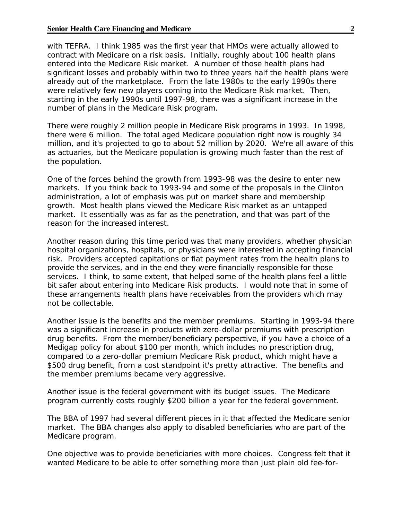## **Senior Health Care Financing and Medicare 2** 2

with TEFRA. I think 1985 was the first year that HMOs were actually allowed to contract with Medicare on a risk basis. Initially, roughly about 100 health plans entered into the Medicare Risk market. A number of those health plans had significant losses and probably within two to three years half the health plans were already out of the marketplace. From the late 1980s to the early 1990s there were relatively few new players coming into the Medicare Risk market. Then, starting in the early 1990s until 1997-98, there was a significant increase in the number of plans in the Medicare Risk program.

There were roughly 2 million people in Medicare Risk programs in 1993. In 1998, there were 6 million. The total aged Medicare population right now is roughly 34 million, and it's projected to go to about 52 million by 2020. We're all aware of this as actuaries, but the Medicare population is growing much faster than the rest of the population.

One of the forces behind the growth from 1993-98 was the desire to enter new markets. If you think back to 1993-94 and some of the proposals in the Clinton administration, a lot of emphasis was put on market share and membership growth. Most health plans viewed the Medicare Risk market as an untapped market. It essentially was as far as the penetration, and that was part of the reason for the increased interest.

Another reason during this time period was that many providers, whether physician hospital organizations, hospitals, or physicians were interested in accepting financial risk. Providers accepted capitations or flat payment rates from the health plans to provide the services, and in the end they were financially responsible for those services. I think, to some extent, that helped some of the health plans feel a little bit safer about entering into Medicare Risk products. I would note that in some of these arrangements health plans have receivables from the providers which may not be collectable.

Another issue is the benefits and the member premiums. Starting in 1993-94 there was a significant increase in products with zero-dollar premiums with prescription drug benefits. From the member/beneficiary perspective, if you have a choice of a Medigap policy for about \$100 per month, which includes no prescription drug, compared to a zero-dollar premium Medicare Risk product, which might have a \$500 drug benefit, from a cost standpoint it's pretty attractive. The benefits and the member premiums became very aggressive.

Another issue is the federal government with its budget issues. The Medicare program currently costs roughly \$200 billion a year for the federal government.

The BBA of 1997 had several different pieces in it that affected the Medicare senior market. The BBA changes also apply to disabled beneficiaries who are part of the Medicare program.

One objective was to provide beneficiaries with more choices. Congress felt that it wanted Medicare to be able to offer something more than just plain old fee-for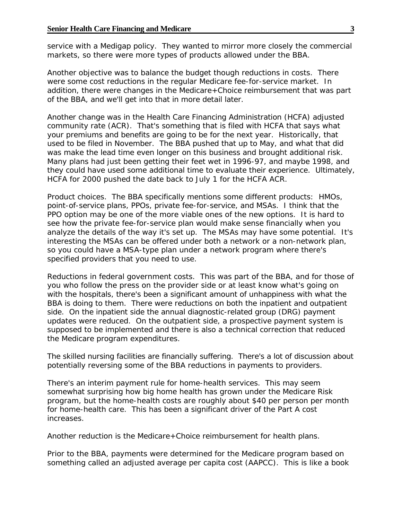service with a Medigap policy. They wanted to mirror more closely the commercial markets, so there were more types of products allowed under the BBA.

Another objective was to balance the budget though reductions in costs. There were some cost reductions in the regular Medicare fee-for-service market. In addition, there were changes in the Medicare+Choice reimbursement that was part of the BBA, and we'll get into that in more detail later.

Another change was in the Health Care Financing Administration (HCFA) adjusted community rate (ACR). That's something that is filed with HCFA that says what your premiums and benefits are going to be for the next year. Historically, that used to be filed in November. The BBA pushed that up to May, and what that did was make the lead time even longer on this business and brought additional risk. Many plans had just been getting their feet wet in 1996-97, and maybe 1998, and they could have used some additional time to evaluate their experience. Ultimately, HCFA for 2000 pushed the date back to July 1 for the HCFA ACR.

Product choices. The BBA specifically mentions some different products: HMOs, point-of-service plans, PPOs, private fee-for-service, and MSAs. I think that the PPO option may be one of the more viable ones of the new options. It is hard to see how the private fee-for-service plan would make sense financially when you analyze the details of the way it's set up. The MSAs may have some potential. It's interesting the MSAs can be offered under both a network or a non-network plan, so you could have a MSA-type plan under a network program where there's specified providers that you need to use.

Reductions in federal government costs. This was part of the BBA, and for those of you who follow the press on the provider side or at least know what's going on with the hospitals, there's been a significant amount of unhappiness with what the BBA is doing to them. There were reductions on both the inpatient and outpatient side. On the inpatient side the annual diagnostic-related group (DRG) payment updates were reduced. On the outpatient side, a prospective payment system is supposed to be implemented and there is also a technical correction that reduced the Medicare program expenditures.

The skilled nursing facilities are financially suffering. There's a lot of discussion about potentially reversing some of the BBA reductions in payments to providers.

There's an interim payment rule for home-health services. This may seem somewhat surprising how big home health has grown under the Medicare Risk program, but the home-health costs are roughly about \$40 per person per month for home-health care. This has been a significant driver of the Part A cost increases.

Another reduction is the Medicare+Choice reimbursement for health plans.

Prior to the BBA, payments were determined for the Medicare program based on something called an adjusted average per capita cost (AAPCC). This is like a book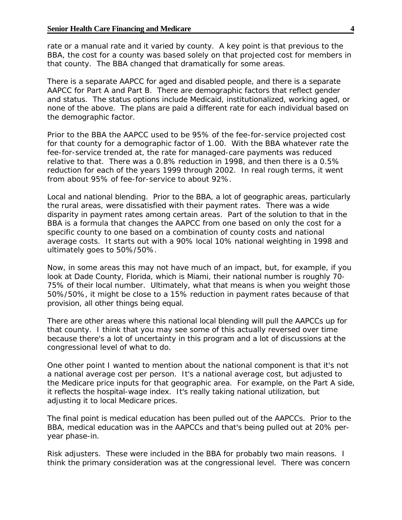rate or a manual rate and it varied by county. A key point is that previous to the BBA, the cost for a county was based solely on that projected cost for members in that county. The BBA changed that dramatically for some areas.

There is a separate AAPCC for aged and disabled people, and there is a separate AAPCC for Part A and Part B. There are demographic factors that reflect gender and status. The status options include Medicaid, institutionalized, working aged, or none of the above. The plans are paid a different rate for each individual based on the demographic factor.

Prior to the BBA the AAPCC used to be 95% of the fee-for-service projected cost for that county for a demographic factor of 1.00. With the BBA whatever rate the fee-for-service trended at, the rate for managed-care payments was reduced relative to that. There was a 0.8% reduction in 1998, and then there is a 0.5% reduction for each of the years 1999 through 2002. In real rough terms, it went from about 95% of fee-for-service to about 92%.

Local and national blending. Prior to the BBA, a lot of geographic areas, particularly the rural areas, were dissatisfied with their payment rates. There was a wide disparity in payment rates among certain areas. Part of the solution to that in the BBA is a formula that changes the AAPCC from one based on only the cost for a specific county to one based on a combination of county costs and national average costs. It starts out with a 90% local 10% national weighting in 1998 and ultimately goes to 50%/50%.

Now, in some areas this may not have much of an impact, but, for example, if you look at Dade County, Florida, which is Miami, their national number is roughly 70- 75% of their local number. Ultimately, what that means is when you weight those 50%/50%, it might be close to a 15% reduction in payment rates because of that provision, all other things being equal.

There are other areas where this national local blending will pull the AAPCCs up for that county. I think that you may see some of this actually reversed over time because there's a lot of uncertainty in this program and a lot of discussions at the congressional level of what to do.

One other point I wanted to mention about the national component is that it's not a national average cost per person. It's a national average cost, but adjusted to the Medicare price inputs for that geographic area. For example, on the Part A side, it reflects the hospital-wage index. It's really taking national utilization, but adjusting it to local Medicare prices.

The final point is medical education has been pulled out of the AAPCCs. Prior to the BBA, medical education was in the AAPCCs and that's being pulled out at 20% peryear phase-in.

Risk adjusters. These were included in the BBA for probably two main reasons. I think the primary consideration was at the congressional level. There was concern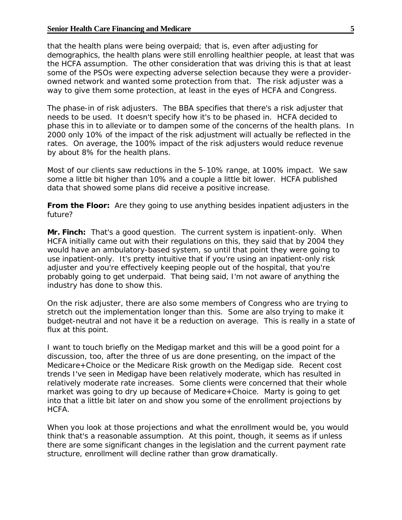that the health plans were being overpaid; that is, even after adjusting for demographics, the health plans were still enrolling healthier people, at least that was the HCFA assumption. The other consideration that was driving this is that at least some of the PSOs were expecting adverse selection because they were a providerowned network and wanted some protection from that. The risk adjuster was a way to give them some protection, at least in the eyes of HCFA and Congress.

The phase-in of risk adjusters. The BBA specifies that there's a risk adjuster that needs to be used. It doesn't specify how it's to be phased in. HCFA decided to phase this in to alleviate or to dampen some of the concerns of the health plans. In 2000 only 10% of the impact of the risk adjustment will actually be reflected in the rates. On average, the 100% impact of the risk adjusters would reduce revenue by about 8% for the health plans.

Most of our clients saw reductions in the 5-10% range, at 100% impact. We saw some a little bit higher than 10% and a couple a little bit lower. HCFA published data that showed some plans did receive a positive increase.

**From the Floor:** Are they going to use anything besides inpatient adjusters in the future?

**Mr. Finch:** That's a good question. The current system is inpatient-only. When HCFA initially came out with their regulations on this, they said that by 2004 they would have an ambulatory-based system, so until that point they were going to use inpatient-only. It's pretty intuitive that if you're using an inpatient-only risk adjuster and you're effectively keeping people out of the hospital, that you're probably going to get underpaid. That being said, I'm not aware of anything the industry has done to show this.

On the risk adjuster, there are also some members of Congress who are trying to stretch out the implementation longer than this. Some are also trying to make it budget-neutral and not have it be a reduction on average. This is really in a state of flux at this point.

I want to touch briefly on the Medigap market and this will be a good point for a discussion, too, after the three of us are done presenting, on the impact of the Medicare+Choice or the Medicare Risk growth on the Medigap side. Recent cost trends I've seen in Medigap have been relatively moderate, which has resulted in relatively moderate rate increases. Some clients were concerned that their whole market was going to dry up because of Medicare+Choice. Marty is going to get into that a little bit later on and show you some of the enrollment projections by HCFA.

When you look at those projections and what the enrollment would be, you would think that's a reasonable assumption. At this point, though, it seems as if unless there are some significant changes in the legislation and the current payment rate structure, enrollment will decline rather than grow dramatically.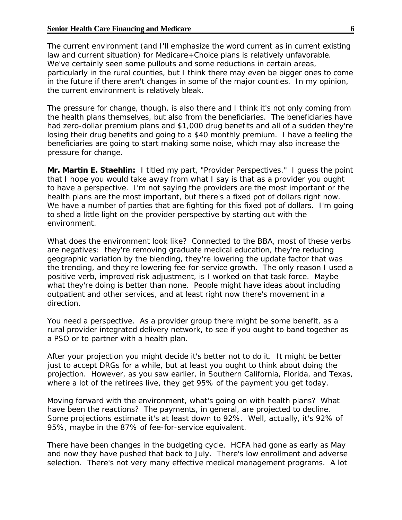The current environment (and I'll emphasize the word *current* as in current existing law and current situation) for Medicare+Choice plans is relatively unfavorable. We've certainly seen some pullouts and some reductions in certain areas, particularly in the rural counties, but I think there may even be bigger ones to come in the future if there aren't changes in some of the major counties. In my opinion, the current environment is relatively bleak.

The pressure for change, though, is also there and I think it's not only coming from the health plans themselves, but also from the beneficiaries. The beneficiaries have had zero-dollar premium plans and \$1,000 drug benefits and all of a sudden they're losing their drug benefits and going to a \$40 monthly premium. I have a feeling the beneficiaries are going to start making some noise, which may also increase the pressure for change.

**Mr. Martin E. Staehlin:** I titled my part, "Provider Perspectives." I guess the point that I hope you would take away from what I say is that as a provider you ought to have a perspective. I'm not saying the providers are the most important or the health plans are the most important, but there's a fixed pot of dollars right now. We have a number of parties that are fighting for this fixed pot of dollars. I'm going to shed a little light on the provider perspective by starting out with the environment.

What does the environment look like? Connected to the BBA, most of these verbs are negatives: they're removing graduate medical education, they're reducing geographic variation by the blending, they're lowering the update factor that was the trending, and they're lowering fee-for-service growth. The only reason I used a positive verb, improved risk adjustment, is I worked on that task force. Maybe what they're doing is better than none. People might have ideas about including outpatient and other services, and at least right now there's movement in a direction.

You need a perspective. As a provider group there might be some benefit, as a rural provider integrated delivery network, to see if you ought to band together as a PSO or to partner with a health plan.

After your projection you might decide it's better not to do it. It might be better just to accept DRGs for a while, but at least you ought to think about doing the projection. However, as you saw earlier, in Southern California, Florida, and Texas, where a lot of the retirees live, they get 95% of the payment you get today.

Moving forward with the environment, what's going on with health plans? What have been the reactions? The payments, in general, are projected to decline. Some projections estimate it's at least down to 92%. Well, actually, it's 92% of 95%, maybe in the 87% of fee-for-service equivalent.

There have been changes in the budgeting cycle. HCFA had gone as early as May and now they have pushed that back to July. There's low enrollment and adverse selection. There's not very many effective medical management programs. A lot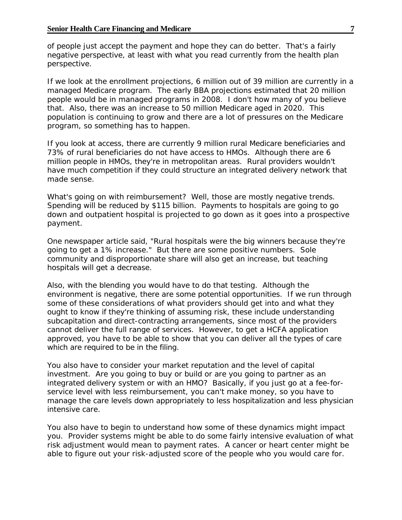of people just accept the payment and hope they can do better. That's a fairly negative perspective, at least with what you read currently from the health plan perspective.

If we look at the enrollment projections, 6 million out of 39 million are currently in a managed Medicare program. The early BBA projections estimated that 20 million people would be in managed programs in 2008. I don't how many of you believe that. Also, there was an increase to 50 million Medicare aged in 2020. This population is continuing to grow and there are a lot of pressures on the Medicare program, so something has to happen.

If you look at access, there are currently 9 million rural Medicare beneficiaries and 73% of rural beneficiaries do not have access to HMOs. Although there are 6 million people in HMOs, they're in metropolitan areas. Rural providers wouldn't have much competition if they could structure an integrated delivery network that made sense.

What's going on with reimbursement? Well, those are mostly negative trends. Spending will be reduced by \$115 billion. Payments to hospitals are going to go down and outpatient hospital is projected to go down as it goes into a prospective payment.

One newspaper article said, "Rural hospitals were the big winners because they're going to get a 1% increase." But there are some positive numbers. Sole community and disproportionate share will also get an increase, but teaching hospitals will get a decrease.

Also, with the blending you would have to do that testing. Although the environment is negative, there are some potential opportunities. If we run through some of these considerations of what providers should get into and what they ought to know if they're thinking of assuming risk, these include understanding subcapitation and direct-contracting arrangements, since most of the providers cannot deliver the full range of services. However, to get a HCFA application approved, you have to be able to show that you can deliver all the types of care which are required to be in the filing.

You also have to consider your market reputation and the level of capital investment. Are you going to buy or build or are you going to partner as an integrated delivery system or with an HMO? Basically, if you just go at a fee-forservice level with less reimbursement, you can't make money, so you have to manage the care levels down appropriately to less hospitalization and less physician intensive care.

You also have to begin to understand how some of these dynamics might impact you. Provider systems might be able to do some fairly intensive evaluation of what risk adjustment would mean to payment rates. A cancer or heart center might be able to figure out your risk-adjusted score of the people who you would care for.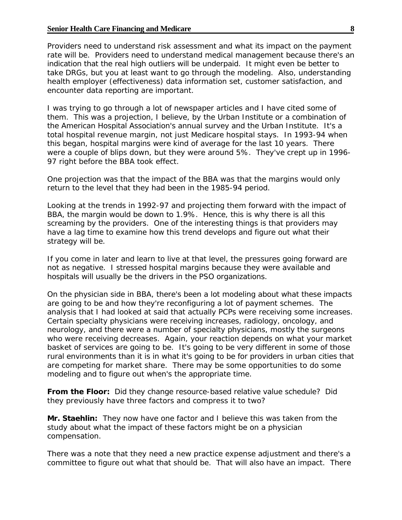## **Senior Health Care Financing and Medicare 8 8**

Providers need to understand risk assessment and what its impact on the payment rate will be. Providers need to understand medical management because there's an indication that the real high outliers will be underpaid. It might even be better to take DRGs, but you at least want to go through the modeling. Also, understanding health employer (effectiveness) data information set, customer satisfaction, and encounter data reporting are important.

I was trying to go through a lot of newspaper articles and I have cited some of them. This was a projection, I believe, by the Urban Institute or a combination of the American Hospital Association's annual survey and the Urban Institute. It's a total hospital revenue margin, not just Medicare hospital stays. In 1993-94 when this began, hospital margins were kind of average for the last 10 years. There were a couple of blips down, but they were around 5%. They've crept up in 1996- 97 right before the BBA took effect.

One projection was that the impact of the BBA was that the margins would only return to the level that they had been in the 1985-94 period.

Looking at the trends in 1992-97 and projecting them forward with the impact of BBA, the margin would be down to 1.9%. Hence, this is why there is all this screaming by the providers. One of the interesting things is that providers may have a lag time to examine how this trend develops and figure out what their strategy will be.

If you come in later and learn to live at that level, the pressures going forward are not as negative. I stressed hospital margins because they were available and hospitals will usually be the drivers in the PSO organizations.

On the physician side in BBA, there's been a lot modeling about what these impacts are going to be and how they're reconfiguring a lot of payment schemes. The analysis that I had looked at said that actually PCPs were receiving some increases. Certain specialty physicians were receiving increases, radiology, oncology, and neurology, and there were a number of specialty physicians, mostly the surgeons who were receiving decreases. Again, your reaction depends on what your market basket of services are going to be. It's going to be very different in some of those rural environments than it is in what it's going to be for providers in urban cities that are competing for market share. There may be some opportunities to do some modeling and to figure out when's the appropriate time.

**From the Floor:** Did they change resource-based relative value schedule? Did they previously have three factors and compress it to two?

**Mr. Staehlin:** They now have one factor and I believe this was taken from the study about what the impact of these factors might be on a physician compensation.

There was a note that they need a new practice expense adjustment and there's a committee to figure out what that should be. That will also have an impact. There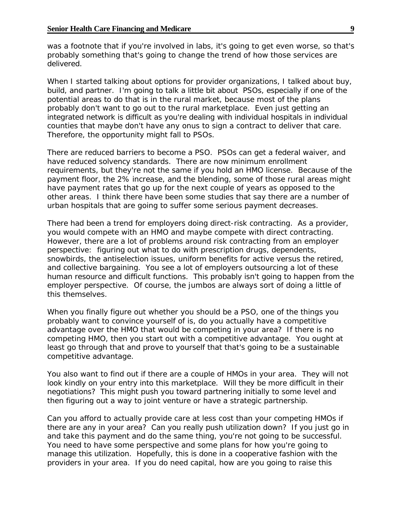was a footnote that if you're involved in labs, it's going to get even worse, so that's probably something that's going to change the trend of how those services are delivered.

When I started talking about options for provider organizations, I talked about buy, build, and partner. I'm going to talk a little bit about PSOs, especially if one of the potential areas to do that is in the rural market, because most of the plans probably don't want to go out to the rural marketplace. Even just getting an integrated network is difficult as you're dealing with individual hospitals in individual counties that maybe don't have any onus to sign a contract to deliver that care. Therefore, the opportunity might fall to PSOs.

There are reduced barriers to become a PSO. PSOs can get a federal waiver, and have reduced solvency standards. There are now minimum enrollment requirements, but they're not the same if you hold an HMO license. Because of the payment floor, the 2% increase, and the blending, some of those rural areas might have payment rates that go up for the next couple of years as opposed to the other areas. I think there have been some studies that say there are a number of urban hospitals that are going to suffer some serious payment decreases.

There had been a trend for employers doing direct-risk contracting. As a provider, you would compete with an HMO and maybe compete with direct contracting. However, there are a lot of problems around risk contracting from an employer perspective: figuring out what to do with prescription drugs, dependents, snowbirds, the antiselection issues, uniform benefits for active versus the retired, and collective bargaining. You see a lot of employers outsourcing a lot of these human resource and difficult functions. This probably isn't going to happen from the employer perspective. Of course, the jumbos are always sort of doing a little of this themselves.

When you finally figure out whether you should be a PSO, one of the things you probably want to convince yourself of is, do you actually have a competitive advantage over the HMO that would be competing in your area? If there is no competing HMO, then you start out with a competitive advantage. You ought at least go through that and prove to yourself that that's going to be a sustainable competitive advantage.

You also want to find out if there are a couple of HMOs in your area. They will not look kindly on your entry into this marketplace. Will they be more difficult in their negotiations? This might push you toward partnering initially to some level and then figuring out a way to joint venture or have a strategic partnership.

Can you afford to actually provide care at less cost than your competing HMOs if there are any in your area? Can you really push utilization down? If you just go in and take this payment and do the same thing, you're not going to be successful. You need to have some perspective and some plans for how you're going to manage this utilization. Hopefully, this is done in a cooperative fashion with the providers in your area. If you do need capital, how are you going to raise this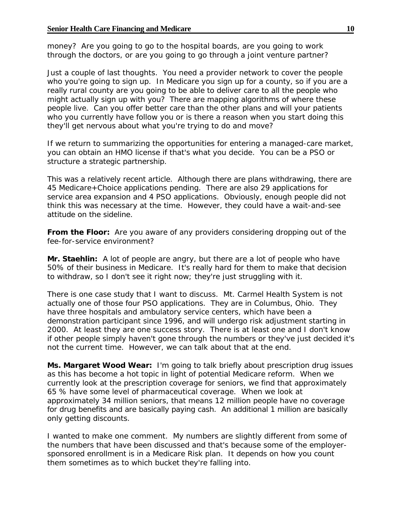money? Are you going to go to the hospital boards, are you going to work through the doctors, or are you going to go through a joint venture partner?

Just a couple of last thoughts. You need a provider network to cover the people who you're going to sign up. In Medicare you sign up for a county, so if you are a really rural county are you going to be able to deliver care to all the people who might actually sign up with you? There are mapping algorithms of where these people live. Can you offer better care than the other plans and will your patients who you currently have follow you or is there a reason when you start doing this they'll get nervous about what you're trying to do and move?

If we return to summarizing the opportunities for entering a managed-care market, you can obtain an HMO license if that's what you decide. You can be a PSO or structure a strategic partnership.

This was a relatively recent article. Although there are plans withdrawing, there are 45 Medicare+Choice applications pending. There are also 29 applications for service area expansion and 4 PSO applications. Obviously, enough people did not think this was necessary at the time. However, they could have a wait-and-see attitude on the sideline.

**From the Floor:** Are you aware of any providers considering dropping out of the fee-for-service environment?

**Mr. Staehlin:** A lot of people are angry, but there are a lot of people who have 50% of their business in Medicare. It's really hard for them to make that decision to withdraw, so I don't see it right now; they're just struggling with it.

There is one case study that I want to discuss. Mt. Carmel Health System is not actually one of those four PSO applications. They are in Columbus, Ohio. They have three hospitals and ambulatory service centers, which have been a demonstration participant since 1996, and will undergo risk adjustment starting in 2000. At least they are one success story. There is at least one and I don't know if other people simply haven't gone through the numbers or they've just decided it's not the current time. However, we can talk about that at the end.

**Ms. Margaret Wood Wear:** I'm going to talk briefly about prescription drug issues as this has become a hot topic in light of potential Medicare reform. When we currently look at the prescription coverage for seniors, we find that approximately 65 % have some level of pharmaceutical coverage. When we look at approximately 34 million seniors, that means 12 million people have no coverage for drug benefits and are basically paying cash. An additional 1 million are basically only getting discounts.

I wanted to make one comment. My numbers are slightly different from some of the numbers that have been discussed and that's because some of the employersponsored enrollment is in a Medicare Risk plan. It depends on how you count them sometimes as to which bucket they're falling into.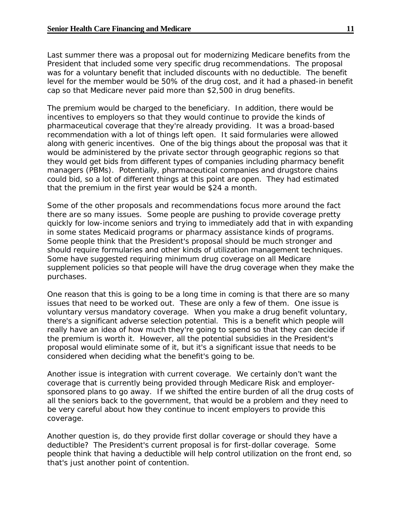Last summer there was a proposal out for modernizing Medicare benefits from the President that included some very specific drug recommendations. The proposal was for a voluntary benefit that included discounts with no deductible. The benefit level for the member would be 50% of the drug cost, and it had a phased-in benefit cap so that Medicare never paid more than \$2,500 in drug benefits.

The premium would be charged to the beneficiary. In addition, there would be incentives to employers so that they would continue to provide the kinds of pharmaceutical coverage that they're already providing. It was a broad-based recommendation with a lot of things left open. It said formularies were allowed along with generic incentives. One of the big things about the proposal was that it would be administered by the private sector through geographic regions so that they would get bids from different types of companies including pharmacy benefit managers (PBMs). Potentially, pharmaceutical companies and drugstore chains could bid, so a lot of different things at this point are open. They had estimated that the premium in the first year would be \$24 a month.

Some of the other proposals and recommendations focus more around the fact there are so many issues. Some people are pushing to provide coverage pretty quickly for low-income seniors and trying to immediately add that in with expanding in some states Medicaid programs or pharmacy assistance kinds of programs. Some people think that the President's proposal should be much stronger and should require formularies and other kinds of utilization management techniques. Some have suggested requiring minimum drug coverage on all Medicare supplement policies so that people will have the drug coverage when they make the purchases.

One reason that this is going to be a long time in coming is that there are so many issues that need to be worked out. These are only a few of them. One issue is voluntary versus mandatory coverage. When you make a drug benefit voluntary, there's a significant adverse selection potential. This is a benefit which people will really have an idea of how much they're going to spend so that they can decide if the premium is worth it. However, all the potential subsidies in the President's proposal would eliminate some of it, but it's a significant issue that needs to be considered when deciding what the benefit's going to be.

Another issue is integration with current coverage. We certainly don't want the coverage that is currently being provided through Medicare Risk and employersponsored plans to go away. If we shifted the entire burden of all the drug costs of all the seniors back to the government, that would be a problem and they need to be very careful about how they continue to incent employers to provide this coverage.

Another question is, do they provide first dollar coverage or should they have a deductible? The President's current proposal is for first-dollar coverage. Some people think that having a deductible will help control utilization on the front end, so that's just another point of contention.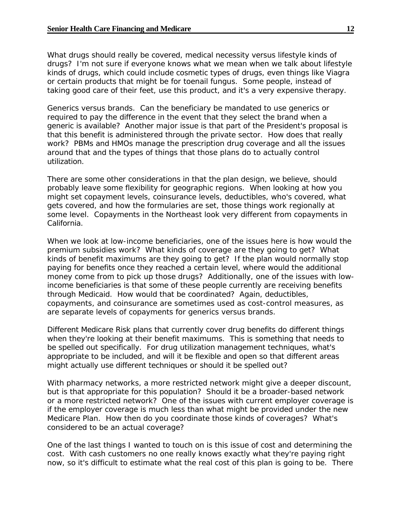What drugs should really be covered, medical necessity versus lifestyle kinds of drugs? I'm not sure if everyone knows what we mean when we talk about lifestyle kinds of drugs, which could include cosmetic types of drugs, even things like Viagra or certain products that might be for toenail fungus. Some people, instead of taking good care of their feet, use this product, and it's a very expensive therapy.

Generics versus brands. Can the beneficiary be mandated to use generics or required to pay the difference in the event that they select the brand when a generic is available? Another major issue is that part of the President's proposal is that this benefit is administered through the private sector. How does that really work? PBMs and HMOs manage the prescription drug coverage and all the issues around that and the types of things that those plans do to actually control utilization.

There are some other considerations in that the plan design, we believe, should probably leave some flexibility for geographic regions. When looking at how you might set copayment levels, coinsurance levels, deductibles, who's covered, what gets covered, and how the formularies are set, those things work regionally at some level. Copayments in the Northeast look very different from copayments in California.

When we look at low-income beneficiaries, one of the issues here is how would the premium subsidies work? What kinds of coverage are they going to get? What kinds of benefit maximums are they going to get? If the plan would normally stop paying for benefits once they reached a certain level, where would the additional money come from to pick up those drugs? Additionally, one of the issues with lowincome beneficiaries is that some of these people currently are receiving benefits through Medicaid. How would that be coordinated? Again, deductibles, copayments, and coinsurance are sometimes used as cost-control measures, as are separate levels of copayments for generics versus brands.

Different Medicare Risk plans that currently cover drug benefits do different things when they're looking at their benefit maximums. This is something that needs to be spelled out specifically. For drug utilization management techniques, what's appropriate to be included, and will it be flexible and open so that different areas might actually use different techniques or should it be spelled out?

With pharmacy networks, a more restricted network might give a deeper discount, but is that appropriate for this population? Should it be a broader-based network or a more restricted network? One of the issues with current employer coverage is if the employer coverage is much less than what might be provided under the new Medicare Plan. How then do you coordinate those kinds of coverages? What's considered to be an actual coverage?

One of the last things I wanted to touch on is this issue of cost and determining the cost. With cash customers no one really knows exactly what they're paying right now, so it's difficult to estimate what the real cost of this plan is going to be. There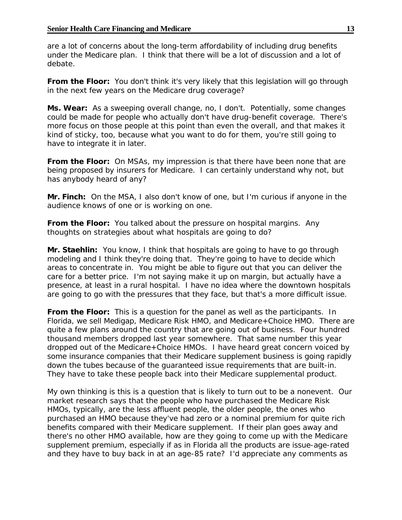are a lot of concerns about the long-term affordability of including drug benefits under the Medicare plan. I think that there will be a lot of discussion and a lot of debate.

**From the Floor:** You don't think it's very likely that this legislation will go through in the next few years on the Medicare drug coverage?

**Ms. Wear:** As a sweeping overall change, no, I don't. Potentially, some changes could be made for people who actually don't have drug-benefit coverage. There's more focus on those people at this point than even the overall, and that makes it kind of sticky, too, because what you want to do for them, you're still going to have to integrate it in later.

**From the Floor:** On MSAs, my impression is that there have been none that are being proposed by insurers for Medicare. I can certainly understand why not, but has anybody heard of any?

**Mr. Finch:** On the MSA, I also don't know of one, but I'm curious if anyone in the audience knows of one or is working on one.

**From the Floor:** You talked about the pressure on hospital margins. Any thoughts on strategies about what hospitals are going to do?

**Mr. Staehlin:** You know, I think that hospitals are going to have to go through modeling and I think they're doing that. They're going to have to decide which areas to concentrate in. You might be able to figure out that you can deliver the care for a better price. I'm not saying make it up on margin, but actually have a presence, at least in a rural hospital. I have no idea where the downtown hospitals are going to go with the pressures that they face, but that's a more difficult issue.

**From the Floor:** This is a question for the panel as well as the participants. In Florida, we sell Medigap, Medicare Risk HMO, and Medicare+Choice HMO. There are quite a few plans around the country that are going out of business. Four hundred thousand members dropped last year somewhere. That same number this year dropped out of the Medicare+Choice HMOs. I have heard great concern voiced by some insurance companies that their Medicare supplement business is going rapidly down the tubes because of the guaranteed issue requirements that are built-in. They have to take these people back into their Medicare supplemental product.

My own thinking is this is a question that is likely to turn out to be a nonevent. Our market research says that the people who have purchased the Medicare Risk HMOs, typically, are the less affluent people, the older people, the ones who purchased an HMO because they've had zero or a nominal premium for quite rich benefits compared with their Medicare supplement. If their plan goes away and there's no other HMO available, how are they going to come up with the Medicare supplement premium, especially if as in Florida all the products are issue-age-rated and they have to buy back in at an age-85 rate? I'd appreciate any comments as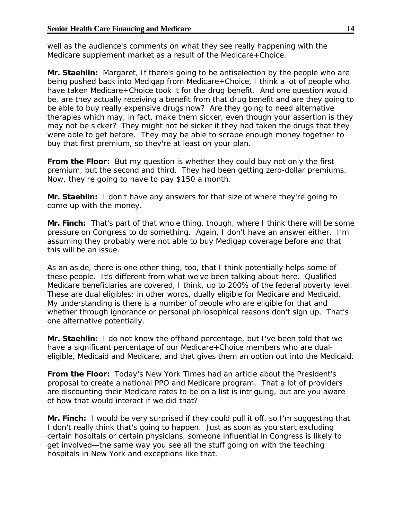well as the audience's comments on what they see really happening with the Medicare supplement market as a result of the Medicare+Choice.

**Mr. Staehlin:** Margaret, If there's going to be antiselection by the people who are being pushed back into Medigap from Medicare+Choice, I think a lot of people who have taken Medicare+Choice took it for the drug benefit. And one question would be, are they actually receiving a benefit from that drug benefit and are they going to be able to buy really expensive drugs now? Are they going to need alternative therapies which may, in fact, make them sicker, even though your assertion is they may not be sicker? They might not be sicker if they had taken the drugs that they were able to get before. They may be able to scrape enough money together to buy that first premium, so they're at least on your plan.

**From the Floor:** But my question is whether they could buy not only the first premium, but the second and third. They had been getting zero-dollar premiums. Now, they're going to have to pay \$150 a month.

**Mr. Staehlin:** I don't have any answers for that size of where they're going to come up with the money.

**Mr. Finch:** That's part of that whole thing, though, where I think there will be some pressure on Congress to do something. Again, I don't have an answer either. I'm assuming they probably were not able to buy Medigap coverage before and that this will be an issue.

As an aside, there is one other thing, too, that I think potentially helps some of these people. It's different from what we've been talking about here. Qualified Medicare beneficiaries are covered, I think, up to 200% of the federal poverty level. These are dual eligibles; in other words, dually eligible for Medicare and Medicaid. My understanding is there is a number of people who are eligible for that and whether through ignorance or personal philosophical reasons don't sign up. That's one alternative potentially.

**Mr. Staehlin:** I do not know the offhand percentage, but I've been told that we have a significant percentage of our Medicare+Choice members who are dualeligible, Medicaid and Medicare, and that gives them an option out into the Medicaid.

**From the Floor:** Today's *New York Times* had an article about the President's proposal to create a national PPO and Medicare program. That a lot of providers are discounting their Medicare rates to be on a list is intriguing, but are you aware of how that would interact if we did that?

**Mr. Finch:** I would be very surprised if they could pull it off, so I'm suggesting that I don't really think that's going to happen. Just as soon as you start excluding certain hospitals or certain physicians, someone influential in Congress is likely to get involved—the same way you see all the stuff going on with the teaching hospitals in New York and exceptions like that.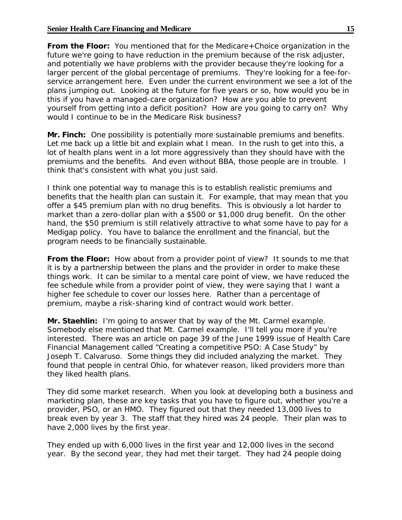**From the Floor:** You mentioned that for the Medicare+Choice organization in the future we're going to have reduction in the premium because of the risk adjuster, and potentially we have problems with the provider because they're looking for a larger percent of the global percentage of premiums. They're looking for a fee-forservice arrangement here. Even under the current environment we see a lot of the plans jumping out. Looking at the future for five years or so, how would you be in this if you have a managed-care organization? How are you able to prevent yourself from getting into a deficit position? How are you going to carry on? Why would I continue to be in the Medicare Risk business?

**Mr. Finch:** One possibility is potentially more sustainable premiums and benefits. Let me back up a little bit and explain what I mean. In the rush to get into this, a lot of health plans went in a lot more aggressively than they should have with the premiums and the benefits. And even without BBA, those people are in trouble. I think that's consistent with what you just said.

I think one potential way to manage this is to establish realistic premiums and benefits that the health plan can sustain it. For example, that may mean that you offer a \$45 premium plan with no drug benefits. This is obviously a lot harder to market than a zero-dollar plan with a \$500 or \$1,000 drug benefit. On the other hand, the \$50 premium is still relatively attractive to what some have to pay for a Medigap policy. You have to balance the enrollment and the financial, but the program needs to be financially sustainable.

**From the Floor:** How about from a provider point of view? It sounds to me that it is by a partnership between the plans and the provider in order to make these things work. It can be similar to a mental care point of view, we have reduced the fee schedule while from a provider point of view, they were saying that I want a higher fee schedule to cover our losses here. Rather than a percentage of premium, maybe a risk-sharing kind of contract would work better.

**Mr. Staehlin:** I'm going to answer that by way of the Mt. Carmel example. Somebody else mentioned that Mt. Carmel example. I'll tell you more if you're interested. There was an article on page 39 of the June 1999 issue of *Health Care Financial Management* called "Creating a competitive PSO: A Case Study*"* by Joseph T. Calvaruso. Some things they did included analyzing the market. They found that people in central Ohio, for whatever reason, liked providers more than they liked health plans.

They did some market research. When you look at developing both a business and marketing plan, these are key tasks that you have to figure out, whether you're a provider, PSO, or an HMO. They figured out that they needed 13,000 lives to break even by year 3. The staff that they hired was 24 people. Their plan was to have 2,000 lives by the first year.

They ended up with 6,000 lives in the first year and 12,000 lives in the second year. By the second year, they had met their target. They had 24 people doing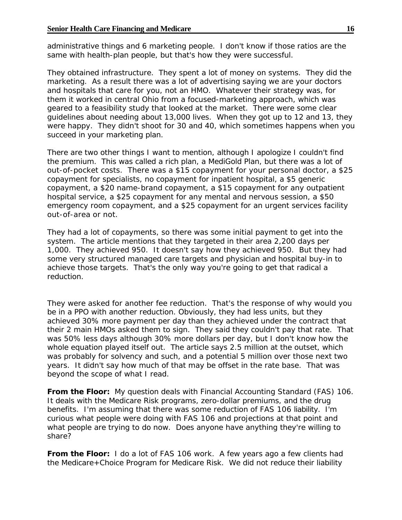administrative things and 6 marketing people. I don't know if those ratios are the same with health-plan people, but that's how they were successful.

They obtained infrastructure. They spent a lot of money on systems. They did the marketing. As a result there was a lot of advertising saying we are your doctors and hospitals that care for you, not an HMO. Whatever their strategy was, for them it worked in central Ohio from a focused-marketing approach, which was geared to a feasibility study that looked at the market. There were some clear guidelines about needing about 13,000 lives. When they got up to 12 and 13, they were happy. They didn't shoot for 30 and 40, which sometimes happens when you succeed in your marketing plan.

There are two other things I want to mention, although I apologize I couldn't find the premium. This was called a rich plan, a MediGold Plan, but there was a lot of out-of-pocket costs. There was a \$15 copayment for your personal doctor, a \$25 copayment for specialists, no copayment for inpatient hospital, a \$5 generic copayment, a \$20 name-brand copayment, a \$15 copayment for any outpatient hospital service, a \$25 copayment for any mental and nervous session, a \$50 emergency room copayment, and a \$25 copayment for an urgent services facility out-of-area or not.

They had a lot of copayments, so there was some initial payment to get into the system. The article mentions that they targeted in their area 2,200 days per 1,000. They achieved 950. It doesn't say how they achieved 950. But they had some very structured managed care targets and physician and hospital buy-in to achieve those targets. That's the only way you're going to get that radical a reduction.

They were asked for another fee reduction. That's the response of why would you be in a PPO with another reduction. Obviously, they had less units, but they achieved 30% more payment per day than they achieved under the contract that their 2 main HMOs asked them to sign. They said they couldn't pay that rate. That was 50% less days although 30% more dollars per day, but I don't know how the whole equation played itself out. The article says 2.5 million at the outset, which was probably for solvency and such, and a potential 5 million over those next two years. It didn't say how much of that may be offset in the rate base. That was beyond the scope of what I read.

**From the Floor:** My question deals with *Financial Accounting Standard (FAS) 106*. It deals with the Medicare Risk programs, zero-dollar premiums, and the drug benefits. I'm assuming that there was some reduction of *FAS 106* liability. I'm curious what people were doing with *FAS 106* and projections at that point and what people are trying to do now. Does anyone have anything they're willing to share?

**From the Floor:** I do a lot of *FAS 106* work. A few years ago a few clients had the Medicare+Choice Program for Medicare Risk. We did not reduce their liability